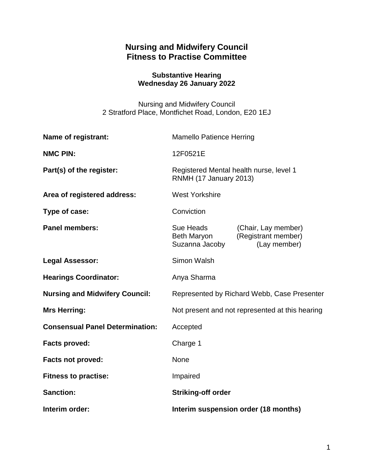# **Nursing and Midwifery Council Fitness to Practise Committee**

### **Substantive Hearing Wednesday 26 January 2022**

Nursing and Midwifery Council 2 Stratford Place, Montfichet Road, London, E20 1EJ

| <b>Name of registrant:</b>             | <b>Mamello Patience Herring</b>                                   |                                                            |
|----------------------------------------|-------------------------------------------------------------------|------------------------------------------------------------|
| <b>NMC PIN:</b>                        | 12F0521E                                                          |                                                            |
| Part(s) of the register:               | Registered Mental health nurse, level 1<br>RNMH (17 January 2013) |                                                            |
| Area of registered address:            | <b>West Yorkshire</b>                                             |                                                            |
| Type of case:                          | Conviction                                                        |                                                            |
| <b>Panel members:</b>                  | Sue Heads<br>Beth Maryon<br>Suzanna Jacoby                        | (Chair, Lay member)<br>(Registrant member)<br>(Lay member) |
| <b>Legal Assessor:</b>                 | <b>Simon Walsh</b>                                                |                                                            |
| <b>Hearings Coordinator:</b>           | Anya Sharma                                                       |                                                            |
| <b>Nursing and Midwifery Council:</b>  | Represented by Richard Webb, Case Presenter                       |                                                            |
| <b>Mrs Herring:</b>                    | Not present and not represented at this hearing                   |                                                            |
| <b>Consensual Panel Determination:</b> | Accepted                                                          |                                                            |
| <b>Facts proved:</b>                   | Charge 1                                                          |                                                            |
| <b>Facts not proved:</b>               | <b>None</b>                                                       |                                                            |
| <b>Fitness to practise:</b>            | Impaired                                                          |                                                            |
| <b>Sanction:</b>                       | <b>Striking-off order</b>                                         |                                                            |
| Interim order:                         | Interim suspension order (18 months)                              |                                                            |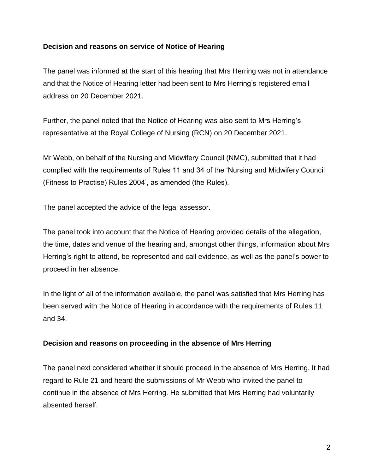### **Decision and reasons on service of Notice of Hearing**

The panel was informed at the start of this hearing that Mrs Herring was not in attendance and that the Notice of Hearing letter had been sent to Mrs Herring's registered email address on 20 December 2021.

Further, the panel noted that the Notice of Hearing was also sent to Mrs Herring's representative at the Royal College of Nursing (RCN) on 20 December 2021.

Mr Webb, on behalf of the Nursing and Midwifery Council (NMC), submitted that it had complied with the requirements of Rules 11 and 34 of the 'Nursing and Midwifery Council (Fitness to Practise) Rules 2004', as amended (the Rules).

The panel accepted the advice of the legal assessor.

The panel took into account that the Notice of Hearing provided details of the allegation, the time, dates and venue of the hearing and, amongst other things, information about Mrs Herring's right to attend, be represented and call evidence, as well as the panel's power to proceed in her absence.

In the light of all of the information available, the panel was satisfied that Mrs Herring has been served with the Notice of Hearing in accordance with the requirements of Rules 11 and 34.

#### **Decision and reasons on proceeding in the absence of Mrs Herring**

The panel next considered whether it should proceed in the absence of Mrs Herring. It had regard to Rule 21 and heard the submissions of Mr Webb who invited the panel to continue in the absence of Mrs Herring. He submitted that Mrs Herring had voluntarily absented herself.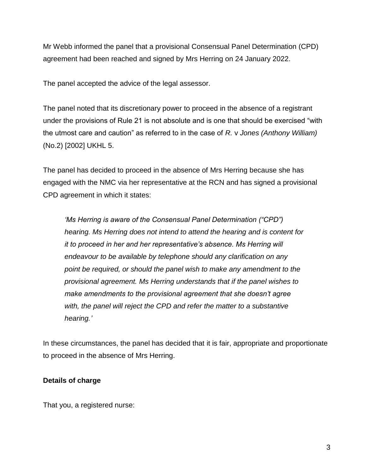Mr Webb informed the panel that a provisional Consensual Panel Determination (CPD) agreement had been reached and signed by Mrs Herring on 24 January 2022.

The panel accepted the advice of the legal assessor.

The panel noted that its discretionary power to proceed in the absence of a registrant under the provisions of Rule 21 is not absolute and is one that should be exercised "with the utmost care and caution" as referred to in the case of *R.* v *Jones (Anthony William)* (No.2) [2002] UKHL 5.

The panel has decided to proceed in the absence of Mrs Herring because she has engaged with the NMC via her representative at the RCN and has signed a provisional CPD agreement in which it states:

*'Ms Herring is aware of the Consensual Panel Determination ("CPD") hearing. Ms Herring does not intend to attend the hearing and is content for it to proceed in her and her representative's absence. Ms Herring will endeavour to be available by telephone should any clarification on any point be required, or should the panel wish to make any amendment to the provisional agreement. Ms Herring understands that if the panel wishes to make amendments to the provisional agreement that she doesn't agree with, the panel will reject the CPD and refer the matter to a substantive hearing.'*

In these circumstances, the panel has decided that it is fair, appropriate and proportionate to proceed in the absence of Mrs Herring.

### **Details of charge**

That you, a registered nurse: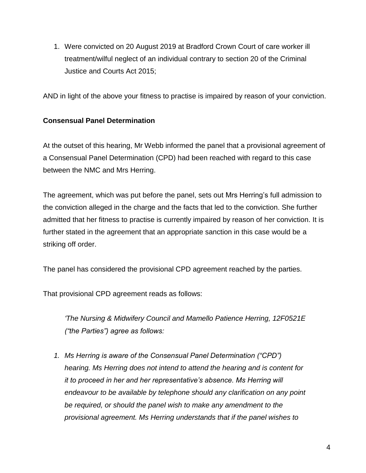1. Were convicted on 20 August 2019 at Bradford Crown Court of care worker ill treatment/wilful neglect of an individual contrary to section 20 of the Criminal Justice and Courts Act 2015;

AND in light of the above your fitness to practise is impaired by reason of your conviction.

### **Consensual Panel Determination**

At the outset of this hearing, Mr Webb informed the panel that a provisional agreement of a Consensual Panel Determination (CPD) had been reached with regard to this case between the NMC and Mrs Herring.

The agreement, which was put before the panel, sets out Mrs Herring's full admission to the conviction alleged in the charge and the facts that led to the conviction. She further admitted that her fitness to practise is currently impaired by reason of her conviction. It is further stated in the agreement that an appropriate sanction in this case would be a striking off order.

The panel has considered the provisional CPD agreement reached by the parties.

That provisional CPD agreement reads as follows:

*'The Nursing & Midwifery Council and Mamello Patience Herring, 12F0521E ("the Parties") agree as follows:*

*1. Ms Herring is aware of the Consensual Panel Determination ("CPD") hearing. Ms Herring does not intend to attend the hearing and is content for it to proceed in her and her representative's absence. Ms Herring will endeavour to be available by telephone should any clarification on any point be required, or should the panel wish to make any amendment to the provisional agreement. Ms Herring understands that if the panel wishes to*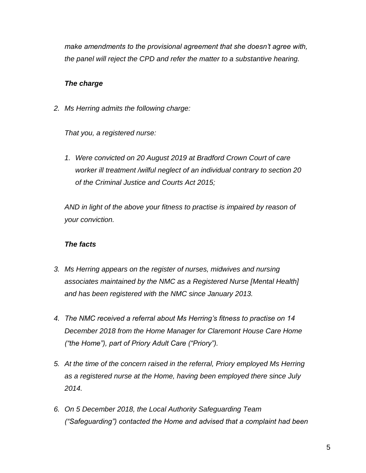*make amendments to the provisional agreement that she doesn't agree with, the panel will reject the CPD and refer the matter to a substantive hearing.* 

### *The charge*

*2. Ms Herring admits the following charge:* 

*That you, a registered nurse:* 

*1. Were convicted on 20 August 2019 at Bradford Crown Court of care worker ill treatment /wilful neglect of an individual contrary to section 20 of the Criminal Justice and Courts Act 2015;* 

*AND in light of the above your fitness to practise is impaired by reason of your conviction.*

#### *The facts*

- *3. Ms Herring appears on the register of nurses, midwives and nursing associates maintained by the NMC as a Registered Nurse [Mental Health] and has been registered with the NMC since January 2013.*
- *4. The NMC received a referral about Ms Herring's fitness to practise on 14 December 2018 from the Home Manager for Claremont House Care Home ("the Home"), part of Priory Adult Care ("Priory").*
- *5. At the time of the concern raised in the referral, Priory employed Ms Herring as a registered nurse at the Home, having been employed there since July 2014.*
- *6. On 5 December 2018, the Local Authority Safeguarding Team ("Safeguarding") contacted the Home and advised that a complaint had been*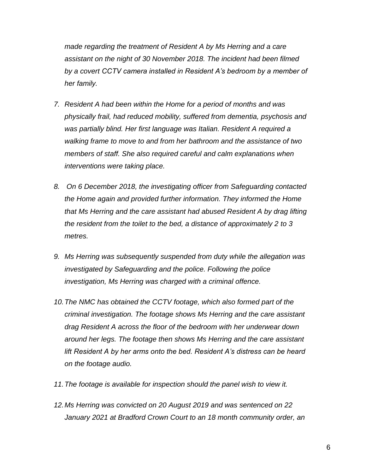*made regarding the treatment of Resident A by Ms Herring and a care assistant on the night of 30 November 2018. The incident had been filmed by a covert CCTV camera installed in Resident A's bedroom by a member of her family.*

- *7. Resident A had been within the Home for a period of months and was physically frail, had reduced mobility, suffered from dementia, psychosis and was partially blind. Her first language was Italian. Resident A required a walking frame to move to and from her bathroom and the assistance of two members of staff. She also required careful and calm explanations when interventions were taking place.*
- *8. On 6 December 2018, the investigating officer from Safeguarding contacted the Home again and provided further information. They informed the Home that Ms Herring and the care assistant had abused Resident A by drag lifting the resident from the toilet to the bed, a distance of approximately 2 to 3 metres.*
- *9. Ms Herring was subsequently suspended from duty while the allegation was investigated by Safeguarding and the police. Following the police investigation, Ms Herring was charged with a criminal offence.*
- *10.The NMC has obtained the CCTV footage, which also formed part of the criminal investigation. The footage shows Ms Herring and the care assistant drag Resident A across the floor of the bedroom with her underwear down around her legs. The footage then shows Ms Herring and the care assistant lift Resident A by her arms onto the bed. Resident A's distress can be heard on the footage audio.*
- *11.The footage is available for inspection should the panel wish to view it.*
- *12.Ms Herring was convicted on 20 August 2019 and was sentenced on 22 January 2021 at Bradford Crown Court to an 18 month community order, an*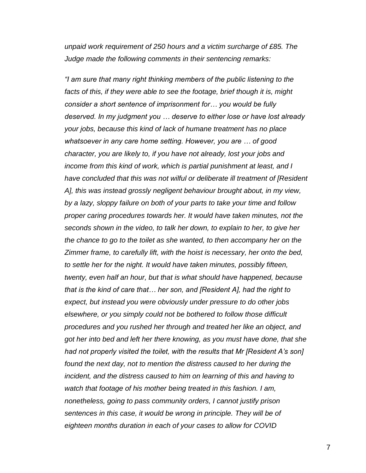*unpaid work requirement of 250 hours and a victim surcharge of £85. The Judge made the following comments in their sentencing remarks:* 

*"I am sure that many right thinking members of the public listening to the*  facts of this, if they were able to see the footage, brief though it is, might *consider a short sentence of imprisonment for… you would be fully deserved. In my judgment you … deserve to either lose or have lost already your jobs, because this kind of lack of humane treatment has no place whatsoever in any care home setting. However, you are … of good character, you are likely to, if you have not already, lost your jobs and income from this kind of work, which is partial punishment at least, and I have concluded that this was not wilful or deliberate ill treatment of [Resident A], this was instead grossly negligent behaviour brought about, in my view, by a lazy, sloppy failure on both of your parts to take your time and follow proper caring procedures towards her. It would have taken minutes, not the seconds shown in the video, to talk her down, to explain to her, to give her the chance to go to the toilet as she wanted, to then accompany her on the Zimmer frame, to carefully lift, with the hoist is necessary, her onto the bed, to settle her for the night. It would have taken minutes, possibly fifteen, twenty, even half an hour, but that is what should have happened, because that is the kind of care that… her son, and [Resident A], had the right to expect, but instead you were obviously under pressure to do other jobs elsewhere, or you simply could not be bothered to follow those difficult procedures and you rushed her through and treated her like an object, and got her into bed and left her there knowing, as you must have done, that she had not properly visited the toilet, with the results that Mr [Resident A's son] found the next day, not to mention the distress caused to her during the incident, and the distress caused to him on learning of this and having to watch that footage of his mother being treated in this fashion. I am, nonetheless, going to pass community orders, I cannot justify prison sentences in this case, it would be wrong in principle. They will be of eighteen months duration in each of your cases to allow for COVID* 

7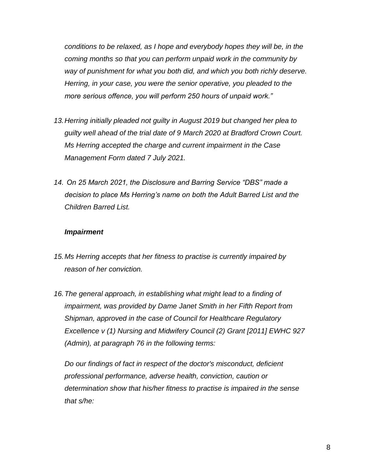*conditions to be relaxed, as I hope and everybody hopes they will be, in the coming months so that you can perform unpaid work in the community by way of punishment for what you both did, and which you both richly deserve. Herring, in your case, you were the senior operative, you pleaded to the more serious offence, you will perform 250 hours of unpaid work."*

- *13.Herring initially pleaded not guilty in August 2019 but changed her plea to guilty well ahead of the trial date of 9 March 2020 at Bradford Crown Court. Ms Herring accepted the charge and current impairment in the Case Management Form dated 7 July 2021.*
- *14. On 25 March 2021, the Disclosure and Barring Service "DBS" made a decision to place Ms Herring's name on both the Adult Barred List and the Children Barred List.*

#### *Impairment*

- *15.Ms Herring accepts that her fitness to practise is currently impaired by reason of her conviction.*
- *16.The general approach, in establishing what might lead to a finding of impairment, was provided by Dame Janet Smith in her Fifth Report from Shipman, approved in the case of Council for Healthcare Regulatory Excellence v (1) Nursing and Midwifery Council (2) Grant [2011] EWHC 927 (Admin), at paragraph 76 in the following terms:*

*Do our findings of fact in respect of the doctor's misconduct, deficient professional performance, adverse health, conviction, caution or determination show that his/her fitness to practise is impaired in the sense that s/he:*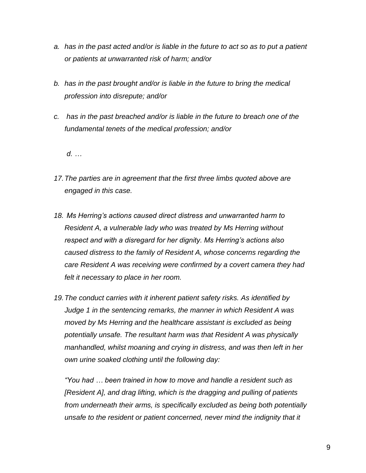- *a. has in the past acted and/or is liable in the future to act so as to put a patient or patients at unwarranted risk of harm; and/or*
- *b. has in the past brought and/or is liable in the future to bring the medical profession into disrepute; and/or*
- *c. has in the past breached and/or is liable in the future to breach one of the fundamental tenets of the medical profession; and/or*

*d. …*

- *17.The parties are in agreement that the first three limbs quoted above are engaged in this case.*
- *18. Ms Herring's actions caused direct distress and unwarranted harm to Resident A, a vulnerable lady who was treated by Ms Herring without respect and with a disregard for her dignity. Ms Herring's actions also caused distress to the family of Resident A, whose concerns regarding the care Resident A was receiving were confirmed by a covert camera they had felt it necessary to place in her room.*
- *19.The conduct carries with it inherent patient safety risks. As identified by Judge 1 in the sentencing remarks, the manner in which Resident A was moved by Ms Herring and the healthcare assistant is excluded as being potentially unsafe. The resultant harm was that Resident A was physically manhandled, whilst moaning and crying in distress, and was then left in her own urine soaked clothing until the following day:*

*"You had … been trained in how to move and handle a resident such as [Resident A], and drag lifting, which is the dragging and pulling of patients from underneath their arms, is specifically excluded as being both potentially unsafe to the resident or patient concerned, never mind the indignity that it*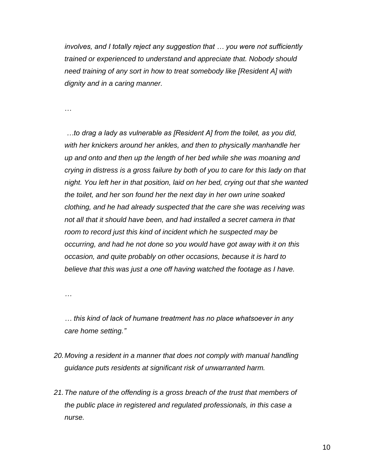*involves, and I totally reject any suggestion that … you were not sufficiently trained or experienced to understand and appreciate that. Nobody should need training of any sort in how to treat somebody like [Resident A] with dignity and in a caring manner.* 

…

*…to drag a lady as vulnerable as [Resident A] from the toilet, as you did, with her knickers around her ankles, and then to physically manhandle her up and onto and then up the length of her bed while she was moaning and crying in distress is a gross failure by both of you to care for this lady on that night. You left her in that position, laid on her bed, crying out that she wanted the toilet, and her son found her the next day in her own urine soaked clothing, and he had already suspected that the care she was receiving was not all that it should have been, and had installed a secret camera in that room to record just this kind of incident which he suspected may be occurring, and had he not done so you would have got away with it on this occasion, and quite probably on other occasions, because it is hard to believe that this was just a one off having watched the footage as I have.*

*…* 

*… this kind of lack of humane treatment has no place whatsoever in any care home setting."* 

- *20.Moving a resident in a manner that does not comply with manual handling guidance puts residents at significant risk of unwarranted harm.*
- *21.The nature of the offending is a gross breach of the trust that members of the public place in registered and regulated professionals, in this case a nurse.*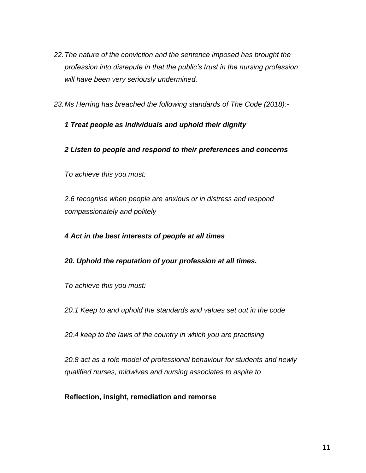- *22.The nature of the conviction and the sentence imposed has brought the profession into disrepute in that the public's trust in the nursing profession will have been very seriously undermined.*
- *23.Ms Herring has breached the following standards of The Code (2018):-*

## *1 Treat people as individuals and uphold their dignity*

### *2 Listen to people and respond to their preferences and concerns*

*To achieve this you must:* 

*2.6 recognise when people are anxious or in distress and respond compassionately and politely* 

### *4 Act in the best interests of people at all times*

#### *20. Uphold the reputation of your profession at all times.*

*To achieve this you must:* 

*20.1 Keep to and uphold the standards and values set out in the code* 

*20.4 keep to the laws of the country in which you are practising*

*20.8 act as a role model of professional behaviour for students and newly qualified nurses, midwives and nursing associates to aspire to*

#### **Reflection, insight, remediation and remorse**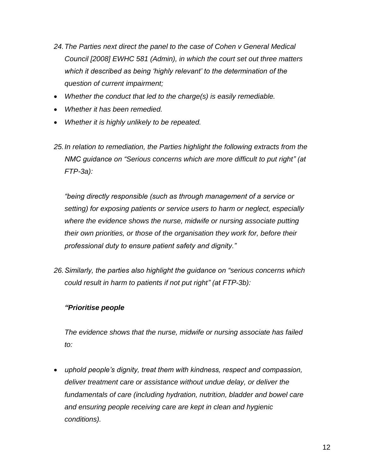- *24.The Parties next direct the panel to the case of Cohen v General Medical Council [2008] EWHC 581 (Admin), in which the court set out three matters which it described as being 'highly relevant' to the determination of the question of current impairment;*
- *Whether the conduct that led to the charge(s) is easily remediable.*
- *Whether it has been remedied.*
- *Whether it is highly unlikely to be repeated.*
- *25.In relation to remediation, the Parties highlight the following extracts from the NMC guidance on "Serious concerns which are more difficult to put right" (at FTP-3a):*

*"being directly responsible (such as through management of a service or setting) for exposing patients or service users to harm or neglect, especially where the evidence shows the nurse, midwife or nursing associate putting their own priorities, or those of the organisation they work for, before their professional duty to ensure patient safety and dignity."* 

*26.Similarly, the parties also highlight the guidance on "serious concerns which could result in harm to patients if not put right" (at FTP-3b):* 

### *"Prioritise people*

*The evidence shows that the nurse, midwife or nursing associate has failed to:* 

 *uphold people's dignity, treat them with kindness, respect and compassion, deliver treatment care or assistance without undue delay, or deliver the fundamentals of care (including hydration, nutrition, bladder and bowel care and ensuring people receiving care are kept in clean and hygienic conditions).*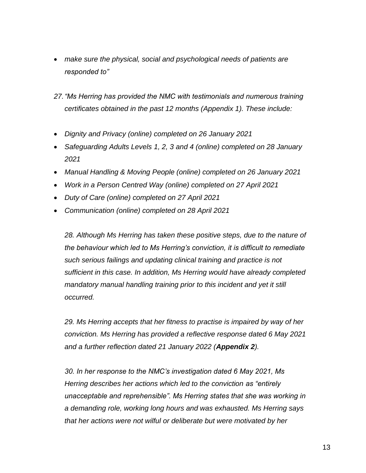- *make sure the physical, social and psychological needs of patients are responded to"*
- *27."Ms Herring has provided the NMC with testimonials and numerous training certificates obtained in the past 12 months (Appendix 1). These include:*
- *Dignity and Privacy (online) completed on 26 January 2021*
- *Safeguarding Adults Levels 1, 2, 3 and 4 (online) completed on 28 January 2021*
- *Manual Handling & Moving People (online) completed on 26 January 2021*
- *Work in a Person Centred Way (online) completed on 27 April 2021*
- *Duty of Care (online) completed on 27 April 2021*
- *Communication (online) completed on 28 April 2021*

28. Although Ms Herring has taken these positive steps, due to the nature of *the behaviour which led to Ms Herring's conviction, it is difficult to remediate such serious failings and updating clinical training and practice is not sufficient in this case. In addition, Ms Herring would have already completed mandatory manual handling training prior to this incident and yet it still occurred.* 

*29. Ms Herring accepts that her fitness to practise is impaired by way of her conviction. Ms Herring has provided a reflective response dated 6 May 2021 and a further reflection dated 21 January 2022 (Appendix 2).* 

*30. In her response to the NMC's investigation dated 6 May 2021, Ms Herring describes her actions which led to the conviction as "entirely unacceptable and reprehensible". Ms Herring states that she was working in a demanding role, working long hours and was exhausted. Ms Herring says that her actions were not wilful or deliberate but were motivated by her*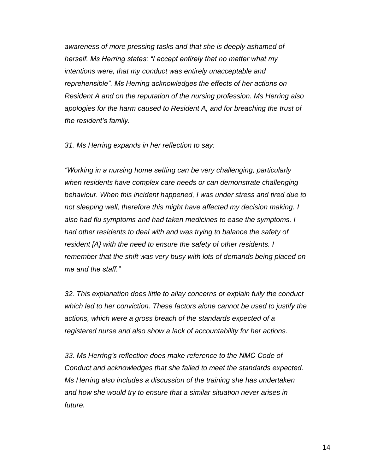*awareness of more pressing tasks and that she is deeply ashamed of herself. Ms Herring states: "I accept entirely that no matter what my intentions were, that my conduct was entirely unacceptable and reprehensible". Ms Herring acknowledges the effects of her actions on Resident A and on the reputation of the nursing profession. Ms Herring also apologies for the harm caused to Resident A, and for breaching the trust of the resident's family.*

*31. Ms Herring expands in her reflection to say:* 

*"Working in a nursing home setting can be very challenging, particularly when residents have complex care needs or can demonstrate challenging behaviour. When this incident happened, I was under stress and tired due to not sleeping well, therefore this might have affected my decision making. I also had flu symptoms and had taken medicines to ease the symptoms. I had other residents to deal with and was trying to balance the safety of resident [A} with the need to ensure the safety of other residents. I remember that the shift was very busy with lots of demands being placed on me and the staff."* 

*32. This explanation does little to allay concerns or explain fully the conduct which led to her conviction. These factors alone cannot be used to justify the actions, which were a gross breach of the standards expected of a registered nurse and also show a lack of accountability for her actions.* 

*33. Ms Herring's reflection does make reference to the NMC Code of Conduct and acknowledges that she failed to meet the standards expected. Ms Herring also includes a discussion of the training she has undertaken and how she would try to ensure that a similar situation never arises in future.*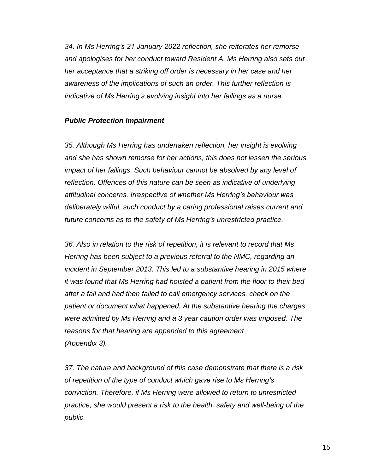*34. In Ms Herring's 21 January 2022 reflection, she reiterates her remorse and apologises for her conduct toward Resident A. Ms Herring also sets out her acceptance that a striking off order is necessary in her case and her awareness of the implications of such an order. This further reflection is indicative of Ms Herring's evolving insight into her failings as a nurse.* 

### *Public Protection Impairment*

*35. Although Ms Herring has undertaken reflection, her insight is evolving and she has shown remorse for her actions, this does not lessen the serious impact of her failings. Such behaviour cannot be absolved by any level of reflection. Offences of this nature can be seen as indicative of underlying attitudinal concerns. Irrespective of whether Ms Herring's behaviour was deliberately wilful, such conduct by a caring professional raises current and future concerns as to the safety of Ms Herring's unrestricted practice.* 

*36. Also in relation to the risk of repetition, it is relevant to record that Ms Herring has been subject to a previous referral to the NMC, regarding an*  incident in September 2013. This led to a substantive hearing in 2015 where *it was found that Ms Herring had hoisted a patient from the floor to their bed after a fall and had then failed to call emergency services, check on the patient or document what happened. At the substantive hearing the charges were admitted by Ms Herring and a 3 year caution order was imposed. The reasons for that hearing are appended to this agreement (Appendix 3).*

*37. The nature and background of this case demonstrate that there is a risk of repetition of the type of conduct which gave rise to Ms Herring's conviction. Therefore, if Ms Herring were allowed to return to unrestricted practice, she would present a risk to the health, safety and well-being of the public.*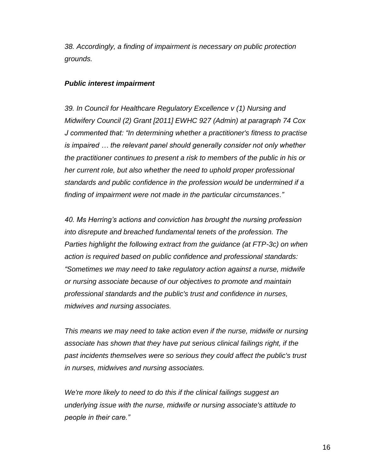*38. Accordingly, a finding of impairment is necessary on public protection grounds.* 

#### *Public interest impairment*

*39. In Council for Healthcare Regulatory Excellence v (1) Nursing and Midwifery Council (2) Grant [2011] EWHC 927 (Admin) at paragraph 74 Cox J commented that: "In determining whether a practitioner's fitness to practise is impaired … the relevant panel should generally consider not only whether the practitioner continues to present a risk to members of the public in his or her current role, but also whether the need to uphold proper professional standards and public confidence in the profession would be undermined if a finding of impairment were not made in the particular circumstances."* 

*40. Ms Herring's actions and conviction has brought the nursing profession into disrepute and breached fundamental tenets of the profession. The Parties highlight the following extract from the guidance (at FTP-3c) on when action is required based on public confidence and professional standards: "Sometimes we may need to take regulatory action against a nurse, midwife or nursing associate because of our objectives to promote and maintain professional standards and the public's trust and confidence in nurses, midwives and nursing associates.* 

*This means we may need to take action even if the nurse, midwife or nursing associate has shown that they have put serious clinical failings right, if the past incidents themselves were so serious they could affect the public's trust in nurses, midwives and nursing associates.*

*We're more likely to need to do this if the clinical failings suggest an underlying issue with the nurse, midwife or nursing associate's attitude to people in their care."*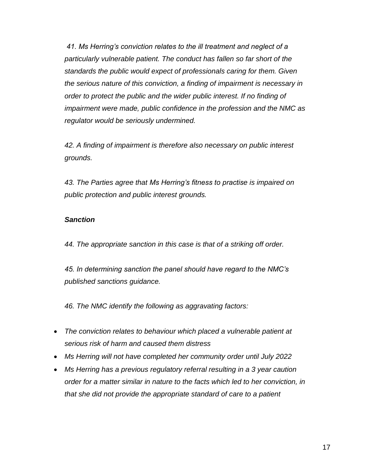*41. Ms Herring's conviction relates to the ill treatment and neglect of a particularly vulnerable patient. The conduct has fallen so far short of the standards the public would expect of professionals caring for them. Given the serious nature of this conviction, a finding of impairment is necessary in order to protect the public and the wider public interest. If no finding of impairment were made, public confidence in the profession and the NMC as regulator would be seriously undermined.* 

*42. A finding of impairment is therefore also necessary on public interest grounds.* 

*43. The Parties agree that Ms Herring's fitness to practise is impaired on public protection and public interest grounds.* 

#### *Sanction*

*44. The appropriate sanction in this case is that of a striking off order.* 

*45. In determining sanction the panel should have regard to the NMC's published sanctions guidance.* 

*46. The NMC identify the following as aggravating factors:*

- *The conviction relates to behaviour which placed a vulnerable patient at serious risk of harm and caused them distress*
- *Ms Herring will not have completed her community order until July 2022*
- *Ms Herring has a previous regulatory referral resulting in a 3 year caution order for a matter similar in nature to the facts which led to her conviction, in that she did not provide the appropriate standard of care to a patient*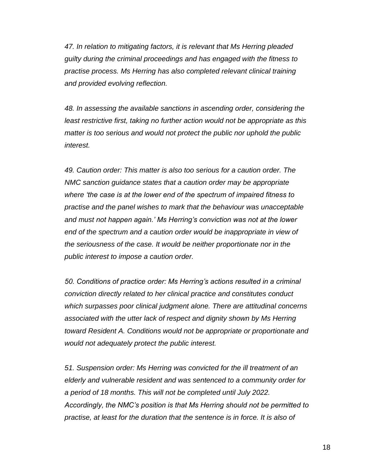*47. In relation to mitigating factors, it is relevant that Ms Herring pleaded guilty during the criminal proceedings and has engaged with the fitness to practise process. Ms Herring has also completed relevant clinical training and provided evolving reflection.*

*48. In assessing the available sanctions in ascending order, considering the least restrictive first, taking no further action would not be appropriate as this matter is too serious and would not protect the public nor uphold the public interest.* 

*49. Caution order: This matter is also too serious for a caution order. The NMC sanction guidance states that a caution order may be appropriate where 'the case is at the lower end of the spectrum of impaired fitness to practise and the panel wishes to mark that the behaviour was unacceptable and must not happen again.' Ms Herring's conviction was not at the lower end of the spectrum and a caution order would be inappropriate in view of the seriousness of the case. It would be neither proportionate nor in the public interest to impose a caution order.* 

*50. Conditions of practice order: Ms Herring's actions resulted in a criminal conviction directly related to her clinical practice and constitutes conduct which surpasses poor clinical judgment alone. There are attitudinal concerns associated with the utter lack of respect and dignity shown by Ms Herring toward Resident A. Conditions would not be appropriate or proportionate and would not adequately protect the public interest.* 

*51. Suspension order: Ms Herring was convicted for the ill treatment of an elderly and vulnerable resident and was sentenced to a community order for a period of 18 months. This will not be completed until July 2022. Accordingly, the NMC's position is that Ms Herring should not be permitted to practise, at least for the duration that the sentence is in force. It is also of*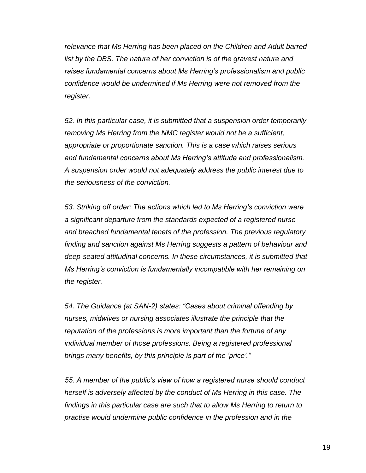*relevance that Ms Herring has been placed on the Children and Adult barred list by the DBS. The nature of her conviction is of the gravest nature and raises fundamental concerns about Ms Herring's professionalism and public confidence would be undermined if Ms Herring were not removed from the register.* 

*52. In this particular case, it is submitted that a suspension order temporarily removing Ms Herring from the NMC register would not be a sufficient, appropriate or proportionate sanction. This is a case which raises serious and fundamental concerns about Ms Herring's attitude and professionalism. A suspension order would not adequately address the public interest due to the seriousness of the conviction.*

*53. Striking off order: The actions which led to Ms Herring's conviction were a significant departure from the standards expected of a registered nurse and breached fundamental tenets of the profession. The previous regulatory finding and sanction against Ms Herring suggests a pattern of behaviour and deep-seated attitudinal concerns. In these circumstances, it is submitted that Ms Herring's conviction is fundamentally incompatible with her remaining on the register.* 

*54. The Guidance (at SAN-2) states: "Cases about criminal offending by nurses, midwives or nursing associates illustrate the principle that the reputation of the professions is more important than the fortune of any individual member of those professions. Being a registered professional brings many benefits, by this principle is part of the 'price'."* 

*55. A member of the public's view of how a registered nurse should conduct herself is adversely affected by the conduct of Ms Herring in this case. The findings in this particular case are such that to allow Ms Herring to return to practise would undermine public confidence in the profession and in the*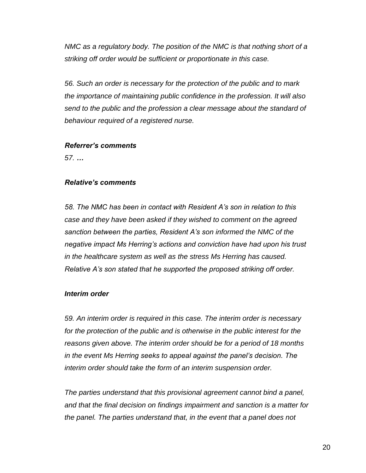*NMC as a regulatory body. The position of the NMC is that nothing short of a striking off order would be sufficient or proportionate in this case.* 

*56. Such an order is necessary for the protection of the public and to mark the importance of maintaining public confidence in the profession. It will also send to the public and the profession a clear message about the standard of behaviour required of a registered nurse.*

#### *Referrer's comments*

*57. …*

#### *Relative's comments*

*58. The NMC has been in contact with Resident A's son in relation to this case and they have been asked if they wished to comment on the agreed sanction between the parties, Resident A's son informed the NMC of the negative impact Ms Herring's actions and conviction have had upon his trust in the healthcare system as well as the stress Ms Herring has caused. Relative A's son stated that he supported the proposed striking off order.* 

#### *Interim order*

*59. An interim order is required in this case. The interim order is necessary for the protection of the public and is otherwise in the public interest for the reasons given above. The interim order should be for a period of 18 months in the event Ms Herring seeks to appeal against the panel's decision. The interim order should take the form of an interim suspension order.* 

*The parties understand that this provisional agreement cannot bind a panel, and that the final decision on findings impairment and sanction is a matter for the panel. The parties understand that, in the event that a panel does not*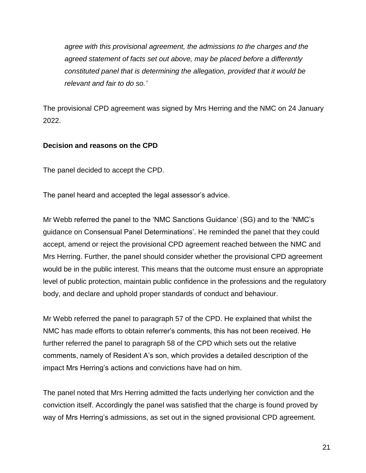*agree with this provisional agreement, the admissions to the charges and the agreed statement of facts set out above, may be placed before a differently constituted panel that is determining the allegation, provided that it would be relevant and fair to do so.'*

The provisional CPD agreement was signed by Mrs Herring and the NMC on 24 January 2022.

### **Decision and reasons on the CPD**

The panel decided to accept the CPD.

The panel heard and accepted the legal assessor's advice.

Mr Webb referred the panel to the 'NMC Sanctions Guidance' (SG) and to the 'NMC's guidance on Consensual Panel Determinations'. He reminded the panel that they could accept, amend or reject the provisional CPD agreement reached between the NMC and Mrs Herring. Further, the panel should consider whether the provisional CPD agreement would be in the public interest. This means that the outcome must ensure an appropriate level of public protection, maintain public confidence in the professions and the regulatory body, and declare and uphold proper standards of conduct and behaviour.

Mr Webb referred the panel to paragraph 57 of the CPD. He explained that whilst the NMC has made efforts to obtain referrer's comments, this has not been received. He further referred the panel to paragraph 58 of the CPD which sets out the relative comments, namely of Resident A's son, which provides a detailed description of the impact Mrs Herring's actions and convictions have had on him.

The panel noted that Mrs Herring admitted the facts underlying her conviction and the conviction itself. Accordingly the panel was satisfied that the charge is found proved by way of Mrs Herring's admissions, as set out in the signed provisional CPD agreement.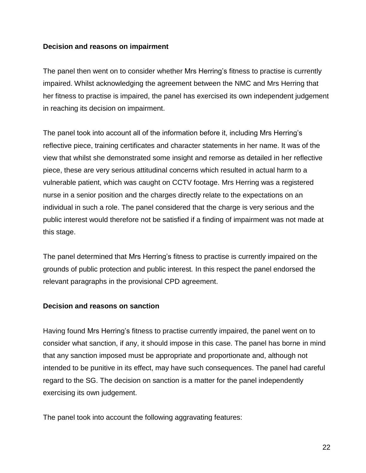### **Decision and reasons on impairment**

The panel then went on to consider whether Mrs Herring's fitness to practise is currently impaired. Whilst acknowledging the agreement between the NMC and Mrs Herring that her fitness to practise is impaired, the panel has exercised its own independent judgement in reaching its decision on impairment.

The panel took into account all of the information before it, including Mrs Herring's reflective piece, training certificates and character statements in her name. It was of the view that whilst she demonstrated some insight and remorse as detailed in her reflective piece, these are very serious attitudinal concerns which resulted in actual harm to a vulnerable patient, which was caught on CCTV footage. Mrs Herring was a registered nurse in a senior position and the charges directly relate to the expectations on an individual in such a role. The panel considered that the charge is very serious and the public interest would therefore not be satisfied if a finding of impairment was not made at this stage.

The panel determined that Mrs Herring's fitness to practise is currently impaired on the grounds of public protection and public interest*.* In this respect the panel endorsed the relevant paragraphs in the provisional CPD agreement.

#### **Decision and reasons on sanction**

Having found Mrs Herring's fitness to practise currently impaired, the panel went on to consider what sanction, if any, it should impose in this case. The panel has borne in mind that any sanction imposed must be appropriate and proportionate and, although not intended to be punitive in its effect, may have such consequences. The panel had careful regard to the SG. The decision on sanction is a matter for the panel independently exercising its own judgement.

The panel took into account the following aggravating features: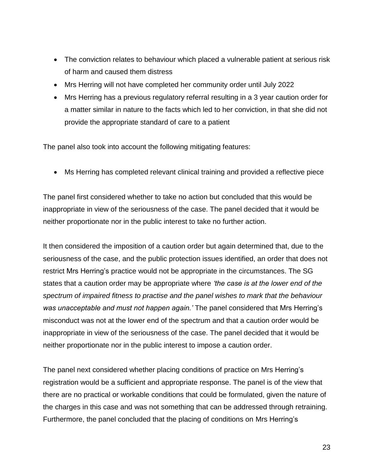- The conviction relates to behaviour which placed a vulnerable patient at serious risk of harm and caused them distress
- Mrs Herring will not have completed her community order until July 2022
- Mrs Herring has a previous regulatory referral resulting in a 3 year caution order for a matter similar in nature to the facts which led to her conviction, in that she did not provide the appropriate standard of care to a patient

The panel also took into account the following mitigating features:

Ms Herring has completed relevant clinical training and provided a reflective piece

The panel first considered whether to take no action but concluded that this would be inappropriate in view of the seriousness of the case. The panel decided that it would be neither proportionate nor in the public interest to take no further action.

It then considered the imposition of a caution order but again determined that, due to the seriousness of the case, and the public protection issues identified, an order that does not restrict Mrs Herring's practice would not be appropriate in the circumstances. The SG states that a caution order may be appropriate where *'the case is at the lower end of the spectrum of impaired fitness to practise and the panel wishes to mark that the behaviour was unacceptable and must not happen again.'* The panel considered that Mrs Herring's misconduct was not at the lower end of the spectrum and that a caution order would be inappropriate in view of the seriousness of the case. The panel decided that it would be neither proportionate nor in the public interest to impose a caution order.

The panel next considered whether placing conditions of practice on Mrs Herring's registration would be a sufficient and appropriate response. The panel is of the view that there are no practical or workable conditions that could be formulated, given the nature of the charges in this case and was not something that can be addressed through retraining. Furthermore, the panel concluded that the placing of conditions on Mrs Herring's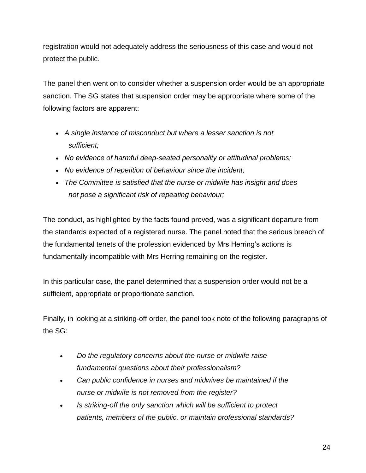registration would not adequately address the seriousness of this case and would not protect the public.

The panel then went on to consider whether a suspension order would be an appropriate sanction. The SG states that suspension order may be appropriate where some of the following factors are apparent:

- *A single instance of misconduct but where a lesser sanction is not sufficient;*
- *No evidence of harmful deep-seated personality or attitudinal problems;*
- *No evidence of repetition of behaviour since the incident;*
- *The Committee is satisfied that the nurse or midwife has insight and does not pose a significant risk of repeating behaviour;*

The conduct, as highlighted by the facts found proved, was a significant departure from the standards expected of a registered nurse. The panel noted that the serious breach of the fundamental tenets of the profession evidenced by Mrs Herring's actions is fundamentally incompatible with Mrs Herring remaining on the register.

In this particular case, the panel determined that a suspension order would not be a sufficient, appropriate or proportionate sanction.

Finally, in looking at a striking-off order, the panel took note of the following paragraphs of the SG:

- *Do the regulatory concerns about the nurse or midwife raise fundamental questions about their professionalism?*
- *Can public confidence in nurses and midwives be maintained if the nurse or midwife is not removed from the register?*
- *Is striking-off the only sanction which will be sufficient to protect patients, members of the public, or maintain professional standards?*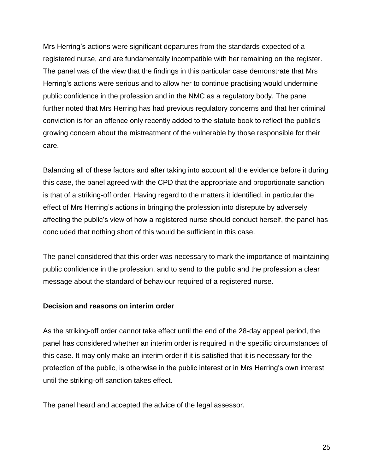Mrs Herring's actions were significant departures from the standards expected of a registered nurse, and are fundamentally incompatible with her remaining on the register. The panel was of the view that the findings in this particular case demonstrate that Mrs Herring's actions were serious and to allow her to continue practising would undermine public confidence in the profession and in the NMC as a regulatory body. The panel further noted that Mrs Herring has had previous regulatory concerns and that her criminal conviction is for an offence only recently added to the statute book to reflect the public's growing concern about the mistreatment of the vulnerable by those responsible for their care.

Balancing all of these factors and after taking into account all the evidence before it during this case, the panel agreed with the CPD that the appropriate and proportionate sanction is that of a striking-off order. Having regard to the matters it identified, in particular the effect of Mrs Herring's actions in bringing the profession into disrepute by adversely affecting the public's view of how a registered nurse should conduct herself, the panel has concluded that nothing short of this would be sufficient in this case.

The panel considered that this order was necessary to mark the importance of maintaining public confidence in the profession, and to send to the public and the profession a clear message about the standard of behaviour required of a registered nurse.

#### **Decision and reasons on interim order**

As the striking-off order cannot take effect until the end of the 28-day appeal period, the panel has considered whether an interim order is required in the specific circumstances of this case. It may only make an interim order if it is satisfied that it is necessary for the protection of the public, is otherwise in the public interest or in Mrs Herring's own interest until the striking-off sanction takes effect.

The panel heard and accepted the advice of the legal assessor.